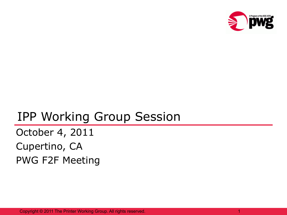

### IPP Working Group Session

October 4, 2011 Cupertino, CA PWG F2F Meeting

Copyright © 2011 The Printer Working Group. All rights reserved. 1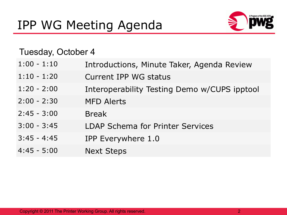

#### Tuesday, October 4

|  | $1:00 - 1:10$ |  |  |  | Introductions, Minute Taker, Agenda Review |  |
|--|---------------|--|--|--|--------------------------------------------|--|
|--|---------------|--|--|--|--------------------------------------------|--|

- 1:10 1:20 Current IPP WG status
- 1:20 2:00 Interoperability Testing Demo w/CUPS ipptool
- 2:00 2:30 MFD Alerts
- 2:45 3:00 Break
- 3:00 3:45 LDAP Schema for Printer Services
- 3:45 4:45 IPP Everywhere 1.0
- 4:45 5:00 Next Steps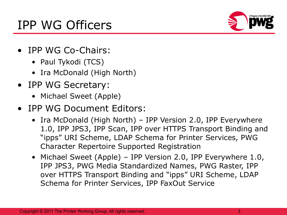## IPP WG Officers



- IPP WG Co-Chairs:
	- Paul Tykodi (TCS)
	- Ira McDonald (High North)
- IPP WG Secretary:
	- Michael Sweet (Apple)
- IPP WG Document Editors:
	- Ira McDonald (High North) IPP Version 2.0, IPP Everywhere 1.0, IPP JPS3, IPP Scan, IPP over HTTPS Transport Binding and "ipps" URI Scheme, LDAP Schema for Printer Services, PWG Character Repertoire Supported Registration
	- Michael Sweet (Apple) IPP Version 2.0, IPP Everywhere 1.0, IPP JPS3, PWG Media Standardized Names, PWG Raster, IPP over HTTPS Transport Binding and "ipps" URI Scheme, LDAP Schema for Printer Services, IPP FaxOut Service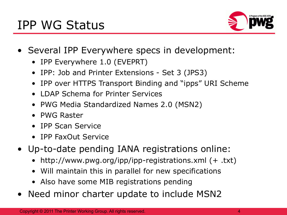

- Several IPP Everywhere specs in development:
	- IPP Everywhere 1.0 (EVEPRT)
	- IPP: Job and Printer Extensions Set 3 (JPS3)
	- IPP over HTTPS Transport Binding and "ipps" URI Scheme
	- LDAP Schema for Printer Services
	- PWG Media Standardized Names 2.0 (MSN2)
	- PWG Raster
	- IPP Scan Service
	- IPP FaxOut Service
- Up-to-date pending IANA registrations online:
	- http://www.pwg.org/ipp/ipp-registrations.xml (+ .txt)
	- Will maintain this in parallel for new specifications
	- Also have some MIB registrations pending
- Need minor charter update to include MSN2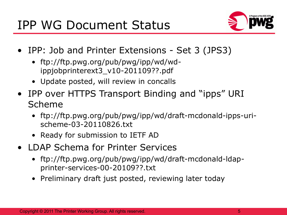

- IPP: Job and Printer Extensions Set 3 (JPS3)
	- ftp://ftp.pwg.org/pub/pwg/ipp/wd/wdippjobprinterext3\_v10-201109??.pdf
	- Update posted, will review in concalls
- IPP over HTTPS Transport Binding and "ipps" URI Scheme
	- ftp://ftp.pwg.org/pub/pwg/ipp/wd/draft-mcdonald-ipps-urischeme-03-20110826.txt
	- Ready for submission to IETF AD
- LDAP Schema for Printer Services
	- ftp://ftp.pwg.org/pub/pwg/ipp/wd/draft-mcdonald-ldapprinter-services-00-20109??.txt
	- Preliminary draft just posted, reviewing later today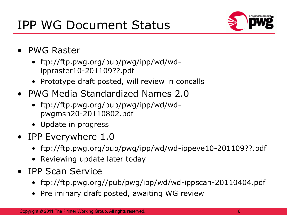

- PWG Raster
	- ftp://ftp.pwg.org/pub/pwg/ipp/wd/wdippraster10-201109??.pdf
	- Prototype draft posted, will review in concalls
- PWG Media Standardized Names 2.0
	- ftp://ftp.pwg.org/pub/pwg/ipp/wd/wdpwgmsn20-20110802.pdf
	- Update in progress
- IPP Everywhere 1.0
	- ftp://ftp.pwg.org/pub/pwg/ipp/wd/wd-ippeve10-201109??.pdf
	- Reviewing update later today
- IPP Scan Service
	- ftp://ftp.pwg.org//pub/pwg/ipp/wd/wd-ippscan-20110404.pdf
	- Preliminary draft posted, awaiting WG review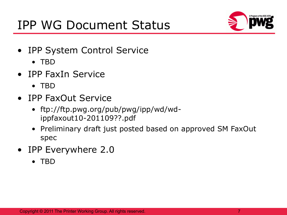

- IPP System Control Service
	- TBD
- IPP FaxIn Service
	- TBD
- IPP FaxOut Service
	- ftp://ftp.pwg.org/pub/pwg/ipp/wd/wdippfaxout10-201109??.pdf
	- Preliminary draft just posted based on approved SM FaxOut spec
- IPP Everywhere 2.0
	- TBD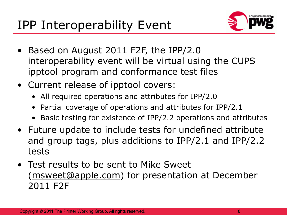

- Based on August 2011 F2F, the IPP/2.0 interoperability event will be virtual using the CUPS ipptool program and conformance test files
- Current release of ipptool covers:
	- All required operations and attributes for IPP/2.0
	- Partial coverage of operations and attributes for IPP/2.1
	- Basic testing for existence of IPP/2.2 operations and attributes
- Future update to include tests for undefined attribute and group tags, plus additions to IPP/2.1 and IPP/2.2 tests
- Test results to be sent to Mike Sweet [\(msweet@apple.com\)](mailto:msweet@apple.com) for presentation at December 2011 F2F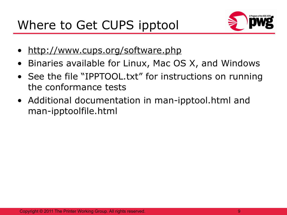

- <http://www.cups.org/software.php>
- Binaries available for Linux, Mac OS X, and Windows
- See the file "IPPTOOL.txt" for instructions on running the conformance tests
- Additional documentation in man-ipptool.html and man-ipptoolfile.html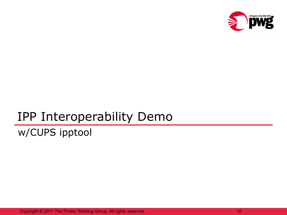

## IPP Interoperability Demo

### w/CUPS ipptool

Copyright © 2011 The Printer Working Group. All rights reserved.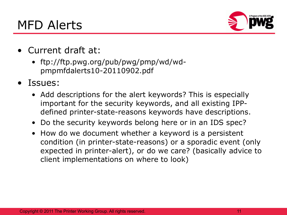MFD Alerts



- Current draft at:
	- ftp://ftp.pwg.org/pub/pwg/pmp/wd/wdpmpmfdalerts10-20110902.pdf
- Issues:
	- Add descriptions for the alert keywords? This is especially important for the security keywords, and all existing IPPdefined printer-state-reasons keywords have descriptions.
	- Do the security keywords belong here or in an IDS spec?
	- How do we document whether a keyword is a persistent condition (in printer-state-reasons) or a sporadic event (only expected in printer-alert), or do we care? (basically advice to client implementations on where to look)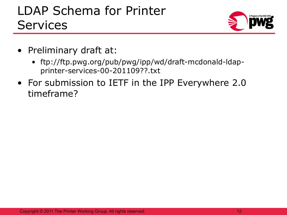# LDAP Schema for Printer **Services**



- Preliminary draft at:
	- ftp://ftp.pwg.org/pub/pwg/ipp/wd/draft-mcdonald-ldapprinter-services-00-201109??.txt
- For submission to IETF in the IPP Everywhere 2.0 timeframe?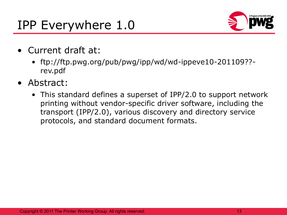# IPP Everywhere 1.0



- Current draft at:
	- ftp://ftp.pwg.org/pub/pwg/ipp/wd/wd-ippeve10-201109?? rev.pdf
- Abstract:
	- This standard defines a superset of IPP/2.0 to support network printing without vendor-specific driver software, including the transport (IPP/2.0), various discovery and directory service protocols, and standard document formats.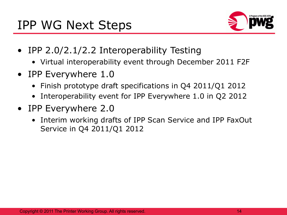

- IPP 2.0/2.1/2.2 Interoperability Testing
	- Virtual interoperability event through December 2011 F2F
- IPP Everywhere 1.0
	- Finish prototype draft specifications in Q4 2011/Q1 2012
	- Interoperability event for IPP Everywhere 1.0 in Q2 2012
- IPP Everywhere 2.0
	- Interim working drafts of IPP Scan Service and IPP FaxOut Service in Q4 2011/Q1 2012